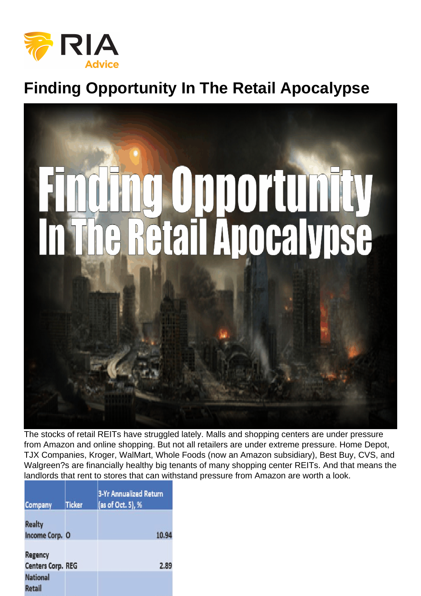## Finding Opportunity In The Retail Apocalypse

The stocks of retail REITs have struggled lately. Malls and shopping centers are under pressure from Amazon and online shopping. But not all retailers are under extreme pressure. Home Depot, TJX Companies, Kroger, WalMart, Whole Foods (now an Amazon subsidiary), Best Buy, CVS, and Walgreen?s are financially healthy big tenants of many shopping center REITs. And that means the landlords that rent to stores that can withstand pressure from Amazon are worth a look.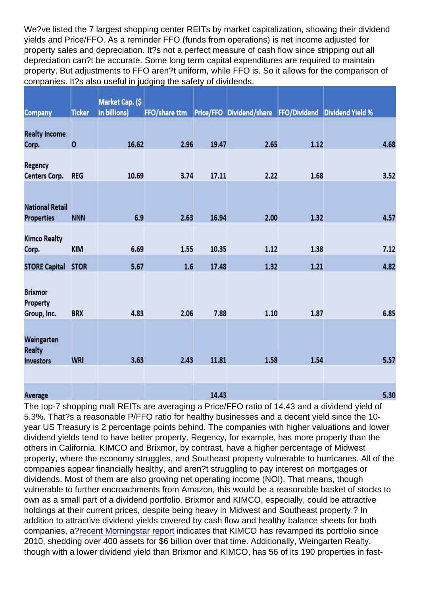We?ve listed the 7 largest shopping center REITs by market capitalization, showing their dividend yields and Price/FFO. As a reminder FFO (funds from operations) is net income adjusted for property sales and depreciation. It?s not a perfect measure of cash flow since stripping out all depreciation can?t be accurate. Some long term capital expenditures are required to maintain property. But adjustments to FFO aren?t uniform, while FFO is. So it allows for the comparison of companies. It?s also useful in judging the safety of dividends.

The top-7 shopping mall REITs are averaging a Price/FFO ratio of 14.43 and a dividend yield of 5.3%. That?s a reasonable P/FFO ratio for healthy businesses and a decent yield since the 10 year US Treasury is 2 percentage points behind. The companies with higher valuations and lower dividend yields tend to have better property. Regency, for example, has more property than the others in California. KIMCO and Brixmor, by contrast, have a higher percentage of Midwest property, where the economy struggles, and Southeast property vulnerable to hurricanes. All of the companies appear financially healthy, and aren?t struggling to pay interest on mortgages or dividends. Most of them are also growing net operating income (NOI). That means, though vulnerable to further encroachments from Amazon, this would be a reasonable basket of stocks to own as a small part of a dividend portfolio. Brixmor and KIMCO, especially, could be attractive holdings at their current prices, despite being heavy in Midwest and Southeast property.? In addition to attractive dividend yields covered by cash flow and healthy balance sheets for both companies, a[?recent Morningstar report](https://www.morningstar.com/articles/884933/shopping-center-reits-currently-on-sale.html) indicates that KIMCO has revamped its portfolio since 2010, shedding over 400 assets for \$6 billion over that time. Additionally, Weingarten Realty, though with a lower dividend yield than Brixmor and KIMCO, has 56 of its 190 properties in fast